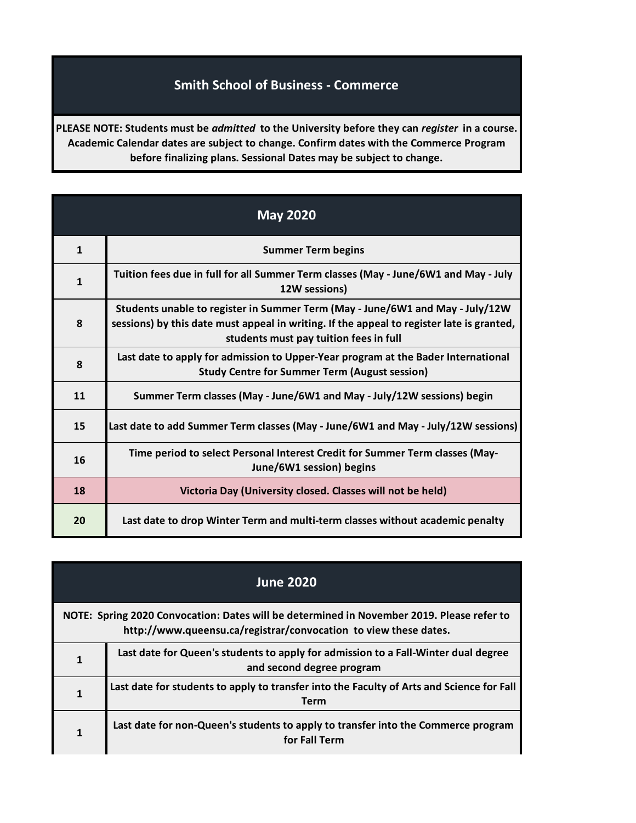## **Smith School of Business - Commerce**

**PLEASE NOTE: Students must be** *admitted* **to the University before they can** *register* **in a course. Academic Calendar dates are subject to change. Confirm dates with the Commerce Program before finalizing plans. Sessional Dates may be subject to change.**

| <b>May 2020</b> |                                                                                                                                                                                                                      |
|-----------------|----------------------------------------------------------------------------------------------------------------------------------------------------------------------------------------------------------------------|
| $\mathbf{1}$    | <b>Summer Term begins</b>                                                                                                                                                                                            |
| $\mathbf{1}$    | Tuition fees due in full for all Summer Term classes (May - June/6W1 and May - July<br>12W sessions)                                                                                                                 |
| 8               | Students unable to register in Summer Term (May - June/6W1 and May - July/12W<br>sessions) by this date must appeal in writing. If the appeal to register late is granted,<br>students must pay tuition fees in full |
| 8               | Last date to apply for admission to Upper-Year program at the Bader International<br><b>Study Centre for Summer Term (August session)</b>                                                                            |
| 11              | Summer Term classes (May - June/6W1 and May - July/12W sessions) begin                                                                                                                                               |
| 15              | Last date to add Summer Term classes (May - June/6W1 and May - July/12W sessions)                                                                                                                                    |
| 16              | Time period to select Personal Interest Credit for Summer Term classes (May-<br>June/6W1 session) begins                                                                                                             |
| 18              | Victoria Day (University closed. Classes will not be held)                                                                                                                                                           |
| 20              | Last date to drop Winter Term and multi-term classes without academic penalty                                                                                                                                        |

| <b>June 2020</b>                                                                                                                                              |                                                                                                                 |
|---------------------------------------------------------------------------------------------------------------------------------------------------------------|-----------------------------------------------------------------------------------------------------------------|
| NOTE: Spring 2020 Convocation: Dates will be determined in November 2019. Please refer to<br>http://www.queensu.ca/registrar/convocation to view these dates. |                                                                                                                 |
| 1                                                                                                                                                             | Last date for Queen's students to apply for admission to a Fall-Winter dual degree<br>and second degree program |
|                                                                                                                                                               | Last date for students to apply to transfer into the Faculty of Arts and Science for Fall<br><b>Term</b>        |
|                                                                                                                                                               | Last date for non-Queen's students to apply to transfer into the Commerce program<br>for Fall Term              |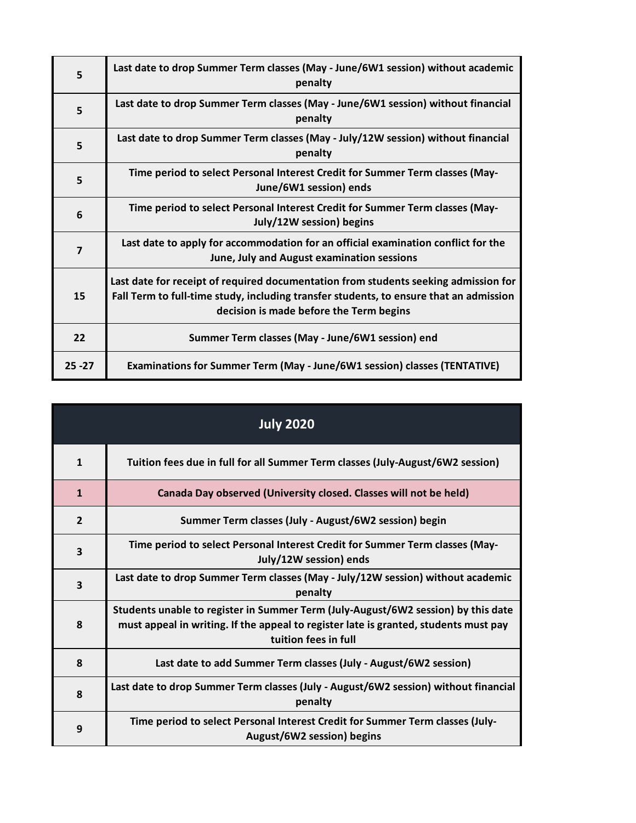| 5              | Last date to drop Summer Term classes (May - June/6W1 session) without academic<br>penalty                                                                                                                               |
|----------------|--------------------------------------------------------------------------------------------------------------------------------------------------------------------------------------------------------------------------|
| 5              | Last date to drop Summer Term classes (May - June/6W1 session) without financial<br>penalty                                                                                                                              |
| 5              | Last date to drop Summer Term classes (May - July/12W session) without financial<br>penalty                                                                                                                              |
| 5              | Time period to select Personal Interest Credit for Summer Term classes (May-<br>June/6W1 session) ends                                                                                                                   |
| 6              | Time period to select Personal Interest Credit for Summer Term classes (May-<br>July/12W session) begins                                                                                                                 |
| $\overline{7}$ | Last date to apply for accommodation for an official examination conflict for the<br>June, July and August examination sessions                                                                                          |
| 15             | Last date for receipt of required documentation from students seeking admission for<br>Fall Term to full-time study, including transfer students, to ensure that an admission<br>decision is made before the Term begins |
| 22             | Summer Term classes (May - June/6W1 session) end                                                                                                                                                                         |
| $25 - 27$      | <b>Examinations for Summer Term (May - June/6W1 session) classes (TENTATIVE)</b>                                                                                                                                         |

| <b>July 2020</b>        |                                                                                                                                                                                                   |
|-------------------------|---------------------------------------------------------------------------------------------------------------------------------------------------------------------------------------------------|
| $\mathbf{1}$            | Tuition fees due in full for all Summer Term classes (July-August/6W2 session)                                                                                                                    |
| $\mathbf{1}$            | Canada Day observed (University closed. Classes will not be held)                                                                                                                                 |
| $\overline{2}$          | Summer Term classes (July - August/6W2 session) begin                                                                                                                                             |
| 3                       | Time period to select Personal Interest Credit for Summer Term classes (May-<br>July/12W session) ends                                                                                            |
| $\overline{\mathbf{3}}$ | Last date to drop Summer Term classes (May - July/12W session) without academic<br>penalty                                                                                                        |
| 8                       | Students unable to register in Summer Term (July-August/6W2 session) by this date<br>must appeal in writing. If the appeal to register late is granted, students must pay<br>tuition fees in full |
| 8                       | Last date to add Summer Term classes (July - August/6W2 session)                                                                                                                                  |
| 8                       | Last date to drop Summer Term classes (July - August/6W2 session) without financial<br>penalty                                                                                                    |
| 9                       | Time period to select Personal Interest Credit for Summer Term classes (July-<br>August/6W2 session) begins                                                                                       |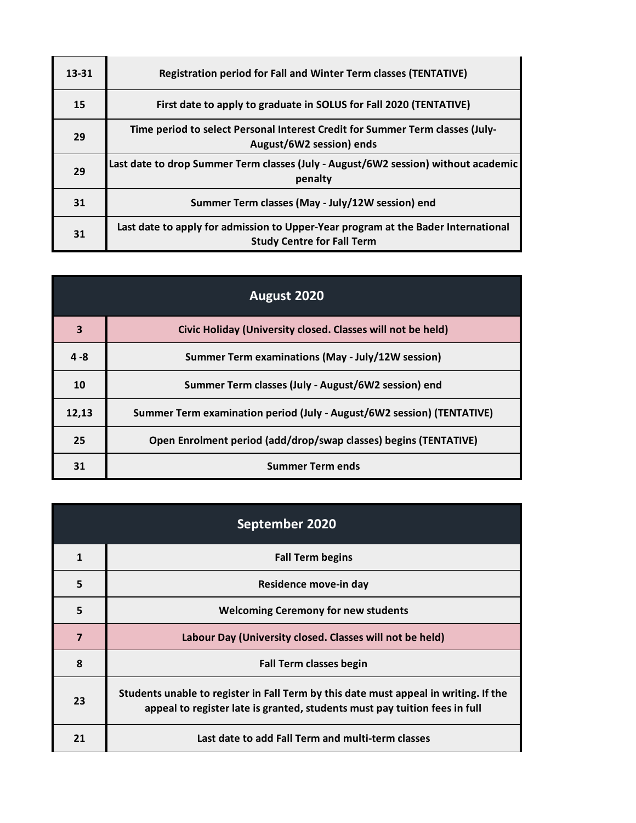| 13-31 | <b>Registration period for Fall and Winter Term classes (TENTATIVE)</b>                                                |
|-------|------------------------------------------------------------------------------------------------------------------------|
| 15    | First date to apply to graduate in SOLUS for Fall 2020 (TENTATIVE)                                                     |
| 29    | Time period to select Personal Interest Credit for Summer Term classes (July-<br>August/6W2 session) ends              |
| 29    | Last date to drop Summer Term classes (July - August/6W2 session) without academic<br>penalty                          |
| 31    | Summer Term classes (May - July/12W session) end                                                                       |
| 31    | Last date to apply for admission to Upper-Year program at the Bader International<br><b>Study Centre for Fall Term</b> |

| August 2020 |                                                                        |
|-------------|------------------------------------------------------------------------|
| 3           | Civic Holiday (University closed. Classes will not be held)            |
| $4 - 8$     | Summer Term examinations (May - July/12W session)                      |
| 10          | Summer Term classes (July - August/6W2 session) end                    |
| 12,13       | Summer Term examination period (July - August/6W2 session) (TENTATIVE) |
| 25          | Open Enrolment period (add/drop/swap classes) begins (TENTATIVE)       |
| 31          | <b>Summer Term ends</b>                                                |

| September 2020 |                                                                                                                                                                    |
|----------------|--------------------------------------------------------------------------------------------------------------------------------------------------------------------|
| $\mathbf{1}$   | <b>Fall Term begins</b>                                                                                                                                            |
| 5              | Residence move-in day                                                                                                                                              |
| 5              | <b>Welcoming Ceremony for new students</b>                                                                                                                         |
| $\overline{7}$ | Labour Day (University closed. Classes will not be held)                                                                                                           |
| 8              | <b>Fall Term classes begin</b>                                                                                                                                     |
| 23             | Students unable to register in Fall Term by this date must appeal in writing. If the<br>appeal to register late is granted, students must pay tuition fees in full |
| 21             | Last date to add Fall Term and multi-term classes                                                                                                                  |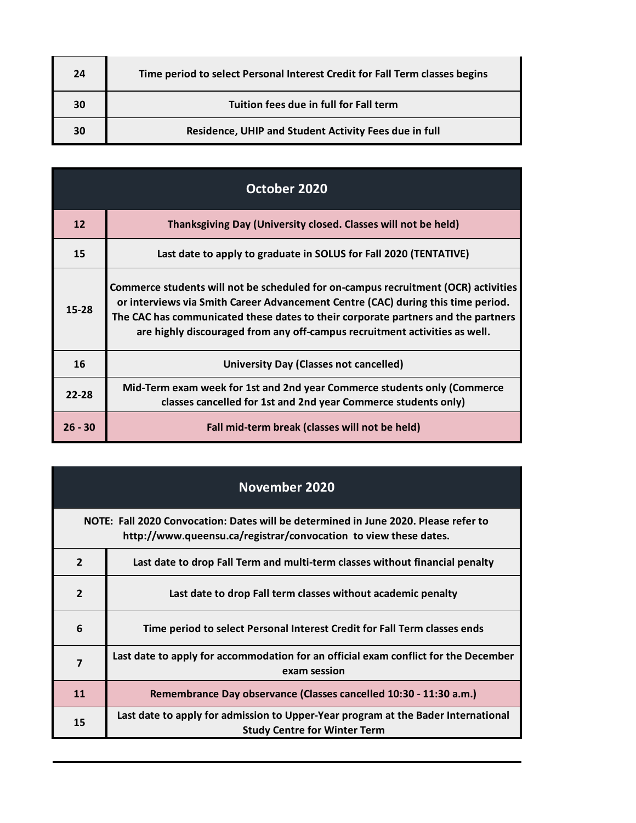| 24 | Time period to select Personal Interest Credit for Fall Term classes begins |
|----|-----------------------------------------------------------------------------|
| 30 | Tuition fees due in full for Fall term                                      |
| 30 | Residence, UHIP and Student Activity Fees due in full                       |

| October 2020 |                                                                                                                                                                                                                                                                                                                                           |
|--------------|-------------------------------------------------------------------------------------------------------------------------------------------------------------------------------------------------------------------------------------------------------------------------------------------------------------------------------------------|
| 12           | Thanksgiving Day (University closed. Classes will not be held)                                                                                                                                                                                                                                                                            |
| 15           | Last date to apply to graduate in SOLUS for Fall 2020 (TENTATIVE)                                                                                                                                                                                                                                                                         |
| 15-28        | Commerce students will not be scheduled for on-campus recruitment (OCR) activities<br>or interviews via Smith Career Advancement Centre (CAC) during this time period.<br>The CAC has communicated these dates to their corporate partners and the partners<br>are highly discouraged from any off-campus recruitment activities as well. |
| 16           | University Day (Classes not cancelled)                                                                                                                                                                                                                                                                                                    |
| $22 - 28$    | Mid-Term exam week for 1st and 2nd year Commerce students only (Commerce<br>classes cancelled for 1st and 2nd year Commerce students only)                                                                                                                                                                                                |
| $26 - 30$    | Fall mid-term break (classes will not be held)                                                                                                                                                                                                                                                                                            |

## **November 2020**

**NOTE: Fall 2020 Convocation: Dates will be determined in June 2020. Please refer to http://www.queensu.ca/registrar/convocation to view these dates.**

| $\overline{2}$ | Last date to drop Fall Term and multi-term classes without financial penalty                                             |
|----------------|--------------------------------------------------------------------------------------------------------------------------|
| $\overline{2}$ | Last date to drop Fall term classes without academic penalty                                                             |
| 6              | Time period to select Personal Interest Credit for Fall Term classes ends                                                |
| $\overline{7}$ | Last date to apply for accommodation for an official exam conflict for the December<br>exam session                      |
| 11             | Remembrance Day observance (Classes cancelled 10:30 - 11:30 a.m.)                                                        |
| 15             | Last date to apply for admission to Upper-Year program at the Bader International<br><b>Study Centre for Winter Term</b> |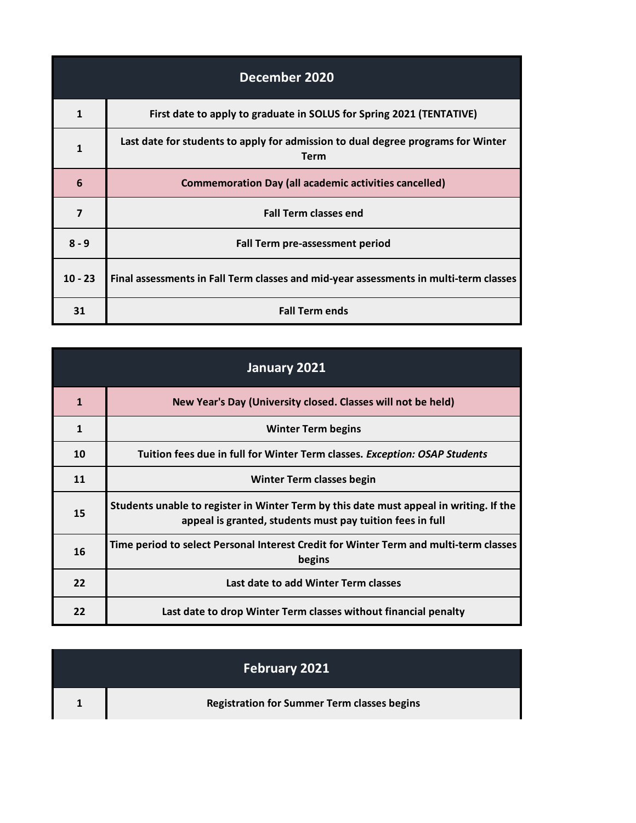| December 2020 |                                                                                                 |
|---------------|-------------------------------------------------------------------------------------------------|
| 1             | First date to apply to graduate in SOLUS for Spring 2021 (TENTATIVE)                            |
| 1             | Last date for students to apply for admission to dual degree programs for Winter<br><b>Term</b> |
| 6             | <b>Commemoration Day (all academic activities cancelled)</b>                                    |
| 7             | <b>Fall Term classes end</b>                                                                    |
| $8 - 9$       | Fall Term pre-assessment period                                                                 |
| $10 - 23$     | Final assessments in Fall Term classes and mid-year assessments in multi-term classes           |
| 31            | <b>Fall Term ends</b>                                                                           |

| January 2021 |                                                                                                                                                     |
|--------------|-----------------------------------------------------------------------------------------------------------------------------------------------------|
| 1            | New Year's Day (University closed. Classes will not be held)                                                                                        |
| 1            | <b>Winter Term begins</b>                                                                                                                           |
| 10           | Tuition fees due in full for Winter Term classes. Exception: OSAP Students                                                                          |
| 11           | Winter Term classes begin                                                                                                                           |
| 15           | Students unable to register in Winter Term by this date must appeal in writing. If the<br>appeal is granted, students must pay tuition fees in full |
| 16           | Time period to select Personal Interest Credit for Winter Term and multi-term classes<br>begins                                                     |
| 22           | Last date to add Winter Term classes                                                                                                                |
| 22           | Last date to drop Winter Term classes without financial penalty                                                                                     |

| February 2021                                      |
|----------------------------------------------------|
| <b>Registration for Summer Term classes begins</b> |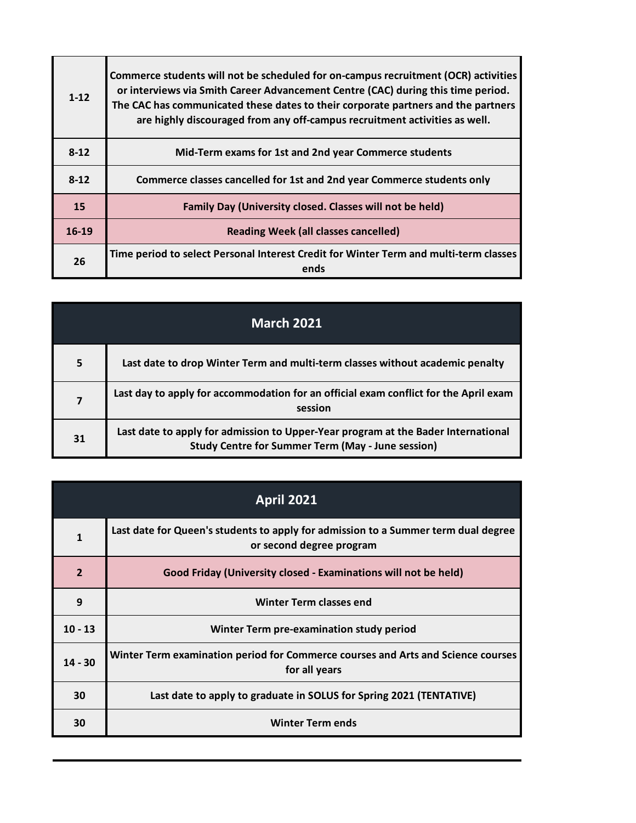| $1 - 12$ | Commerce students will not be scheduled for on-campus recruitment (OCR) activities<br>or interviews via Smith Career Advancement Centre (CAC) during this time period.<br>The CAC has communicated these dates to their corporate partners and the partners<br>are highly discouraged from any off-campus recruitment activities as well. |
|----------|-------------------------------------------------------------------------------------------------------------------------------------------------------------------------------------------------------------------------------------------------------------------------------------------------------------------------------------------|
| $8-12$   | Mid-Term exams for 1st and 2nd year Commerce students                                                                                                                                                                                                                                                                                     |
| $8-12$   | Commerce classes cancelled for 1st and 2nd year Commerce students only                                                                                                                                                                                                                                                                    |
| 15       | Family Day (University closed. Classes will not be held)                                                                                                                                                                                                                                                                                  |
| 16-19    | <b>Reading Week (all classes cancelled)</b>                                                                                                                                                                                                                                                                                               |
| 26       | Time period to select Personal Interest Credit for Winter Term and multi-term classes<br>ends                                                                                                                                                                                                                                             |

| <b>March 2021</b> |                                                                                                                                               |
|-------------------|-----------------------------------------------------------------------------------------------------------------------------------------------|
| 5                 | Last date to drop Winter Term and multi-term classes without academic penalty                                                                 |
| 7                 | Last day to apply for accommodation for an official exam conflict for the April exam<br>session                                               |
| 31                | Last date to apply for admission to Upper-Year program at the Bader International<br><b>Study Centre for Summer Term (May - June session)</b> |

| <b>April 2021</b> |                                                                                                                |
|-------------------|----------------------------------------------------------------------------------------------------------------|
| $\mathbf{1}$      | Last date for Queen's students to apply for admission to a Summer term dual degree<br>or second degree program |
| $\overline{2}$    | Good Friday (University closed - Examinations will not be held)                                                |
| 9                 | <b>Winter Term classes end</b>                                                                                 |
| $10 - 13$         | Winter Term pre-examination study period                                                                       |
| $14 - 30$         | Winter Term examination period for Commerce courses and Arts and Science courses<br>for all years              |
| 30                | Last date to apply to graduate in SOLUS for Spring 2021 (TENTATIVE)                                            |
| 30                | <b>Winter Term ends</b>                                                                                        |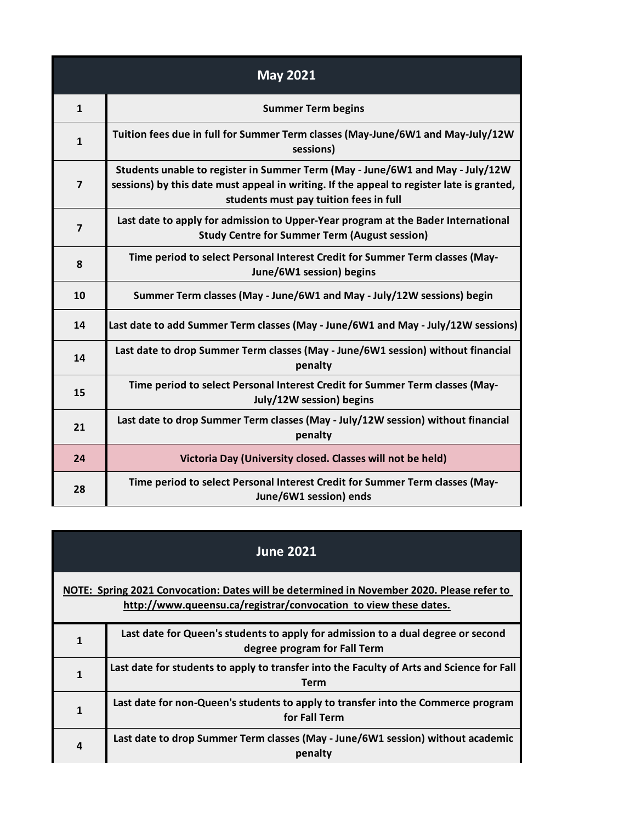| <b>May 2021</b> |                                                                                                                                                                                                                      |
|-----------------|----------------------------------------------------------------------------------------------------------------------------------------------------------------------------------------------------------------------|
| $\mathbf{1}$    | <b>Summer Term begins</b>                                                                                                                                                                                            |
| $\mathbf{1}$    | Tuition fees due in full for Summer Term classes (May-June/6W1 and May-July/12W<br>sessions)                                                                                                                         |
| $\overline{7}$  | Students unable to register in Summer Term (May - June/6W1 and May - July/12W<br>sessions) by this date must appeal in writing. If the appeal to register late is granted,<br>students must pay tuition fees in full |
| $\overline{7}$  | Last date to apply for admission to Upper-Year program at the Bader International<br><b>Study Centre for Summer Term (August session)</b>                                                                            |
| 8               | Time period to select Personal Interest Credit for Summer Term classes (May-<br>June/6W1 session) begins                                                                                                             |
| 10              | Summer Term classes (May - June/6W1 and May - July/12W sessions) begin                                                                                                                                               |
| 14              | Last date to add Summer Term classes (May - June/6W1 and May - July/12W sessions)                                                                                                                                    |
| 14              | Last date to drop Summer Term classes (May - June/6W1 session) without financial<br>penalty                                                                                                                          |
| 15              | Time period to select Personal Interest Credit for Summer Term classes (May-<br>July/12W session) begins                                                                                                             |
| 21              | Last date to drop Summer Term classes (May - July/12W session) without financial<br>penalty                                                                                                                          |
| 24              | Victoria Day (University closed. Classes will not be held)                                                                                                                                                           |
| 28              | Time period to select Personal Interest Credit for Summer Term classes (May-<br>June/6W1 session) ends                                                                                                               |

| <b>June 2021</b> |                                                                                                                                                               |
|------------------|---------------------------------------------------------------------------------------------------------------------------------------------------------------|
|                  | NOTE: Spring 2021 Convocation: Dates will be determined in November 2020. Please refer to<br>http://www.queensu.ca/registrar/convocation to view these dates. |
|                  | Last date for Queen's students to apply for admission to a dual degree or second<br>degree program for Fall Term                                              |
|                  | Last date for students to apply to transfer into the Faculty of Arts and Science for Fall<br>Term                                                             |
|                  | Last date for non-Queen's students to apply to transfer into the Commerce program<br>for Fall Term                                                            |
| 4                | Last date to drop Summer Term classes (May - June/6W1 session) without academic<br>penalty                                                                    |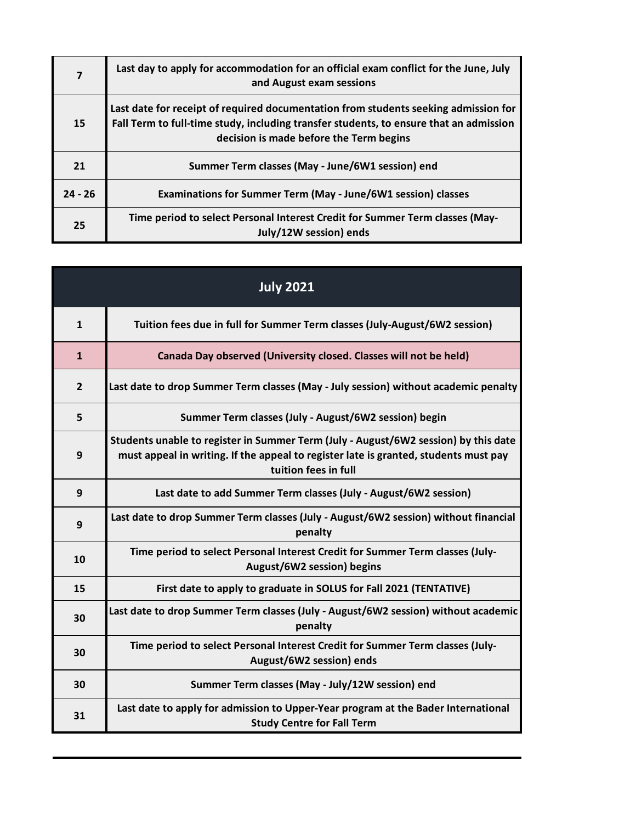| 7         | Last day to apply for accommodation for an official exam conflict for the June, July<br>and August exam sessions                                                                                                         |
|-----------|--------------------------------------------------------------------------------------------------------------------------------------------------------------------------------------------------------------------------|
| 15        | Last date for receipt of required documentation from students seeking admission for<br>Fall Term to full-time study, including transfer students, to ensure that an admission<br>decision is made before the Term begins |
| 21        | Summer Term classes (May - June/6W1 session) end                                                                                                                                                                         |
| $24 - 26$ | Examinations for Summer Term (May - June/6W1 session) classes                                                                                                                                                            |
| 25        | Time period to select Personal Interest Credit for Summer Term classes (May-<br>July/12W session) ends                                                                                                                   |

| <b>July 2021</b> |                                                                                                                                                                                                     |
|------------------|-----------------------------------------------------------------------------------------------------------------------------------------------------------------------------------------------------|
| $\mathbf{1}$     | Tuition fees due in full for Summer Term classes (July-August/6W2 session)                                                                                                                          |
| $\mathbf{1}$     | Canada Day observed (University closed. Classes will not be held)                                                                                                                                   |
| $\overline{2}$   | Last date to drop Summer Term classes (May - July session) without academic penalty                                                                                                                 |
| 5                | Summer Term classes (July - August/6W2 session) begin                                                                                                                                               |
| 9                | Students unable to register in Summer Term (July - August/6W2 session) by this date<br>must appeal in writing. If the appeal to register late is granted, students must pay<br>tuition fees in full |
| 9                | Last date to add Summer Term classes (July - August/6W2 session)                                                                                                                                    |
| 9                | Last date to drop Summer Term classes (July - August/6W2 session) without financial<br>penalty                                                                                                      |
| 10               | Time period to select Personal Interest Credit for Summer Term classes (July-<br>August/6W2 session) begins                                                                                         |
| 15               | First date to apply to graduate in SOLUS for Fall 2021 (TENTATIVE)                                                                                                                                  |
| 30               | Last date to drop Summer Term classes (July - August/6W2 session) without academic<br>penalty                                                                                                       |
| 30               | Time period to select Personal Interest Credit for Summer Term classes (July-<br>August/6W2 session) ends                                                                                           |
| 30               | Summer Term classes (May - July/12W session) end                                                                                                                                                    |
| 31               | Last date to apply for admission to Upper-Year program at the Bader International<br><b>Study Centre for Fall Term</b>                                                                              |